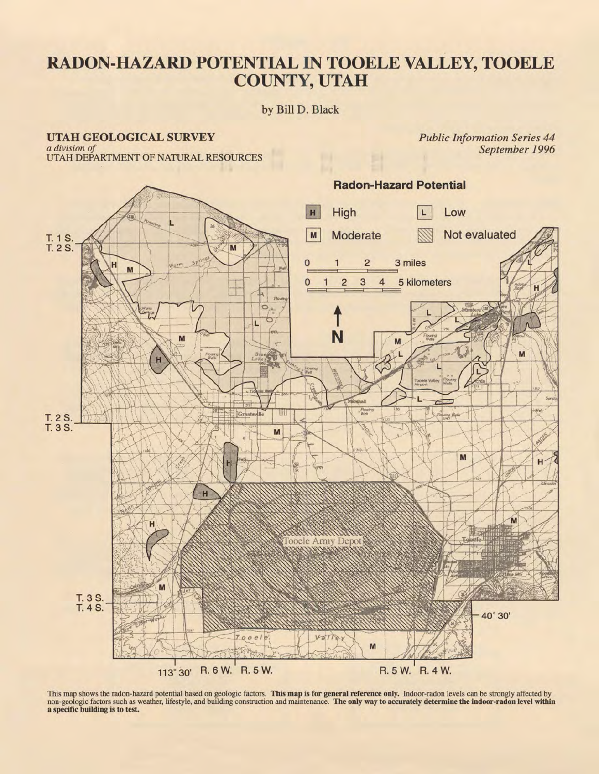## **RADON-HAZARD POTENTIAL IN TOOELE VALLEY, TOOELE COUNTY, UTAH**

### by Bill D. Black

# UTAH GEOLOGICAL SURVEY *a division of*

*Public Information Series 44 September 1996* 

UTAH DEPARTMENT OF NATURAL RESOURCES



This map shows the radon-hazard potential based on geologic factors. This map is for general reference only. Indoor-radon levels can be strongly affected by non-geologic factors such as weather, lifestyle, and building construction and maintenance. The only way to accurately determine the indoor-radon level within a specific building is to test.